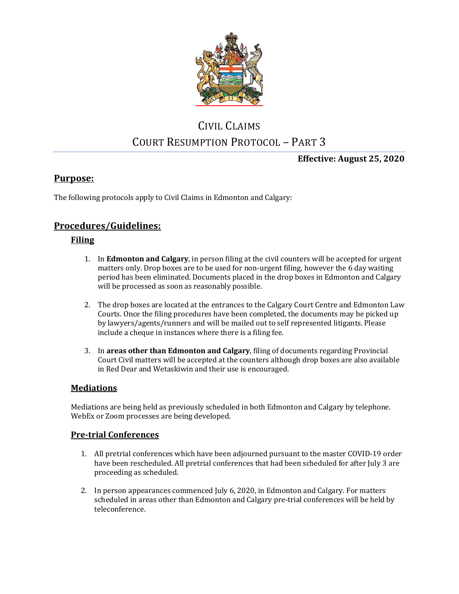

# CIVIL CLAIMS COURT RESUMPTION PROTOCOL – PART 3

**Effective: August 25, 2020**

## **Purpose:**

The following protocols apply to Civil Claims in Edmonton and Calgary:

# **Procedures/Guidelines:**

## **Filing**

- 1. In **Edmonton and Calgary**, in person filing at the civil counters will be accepted for urgent matters only. Drop boxes are to be used for non-urgent filing, however the 6 day waiting period has been eliminated. Documents placed in the drop boxes in Edmonton and Calgary will be processed as soon as reasonably possible.
- 2. The drop boxes are located at the entrances to the Calgary Court Centre and Edmonton Law Courts. Once the filing procedures have been completed, the documents may be picked up by lawyers/agents/runners and will be mailed out to self represented litigants. Please include a cheque in instances where there is a filing fee.
- 3. In **areas other than Edmonton and Calgary**, filing of documents regarding Provincial Court Civil matters will be accepted at the counters although drop boxes are also available in Red Dear and Wetaskiwin and their use is encouraged.

## **Mediations**

Mediations are being held as previously scheduled in both Edmonton and Calgary by telephone. WebEx or Zoom processes are being developed.

#### **Pre-trial Conferences**

- 1. All pretrial conferences which have been adjourned pursuant to the master COVID-19 order have been rescheduled. All pretrial conferences that had been scheduled for after July 3 are proceeding as scheduled.
- 2. In person appearances commenced July 6, 2020, in Edmonton and Calgary. For matters scheduled in areas other than Edmonton and Calgary pre-trial conferences will be held by teleconference.